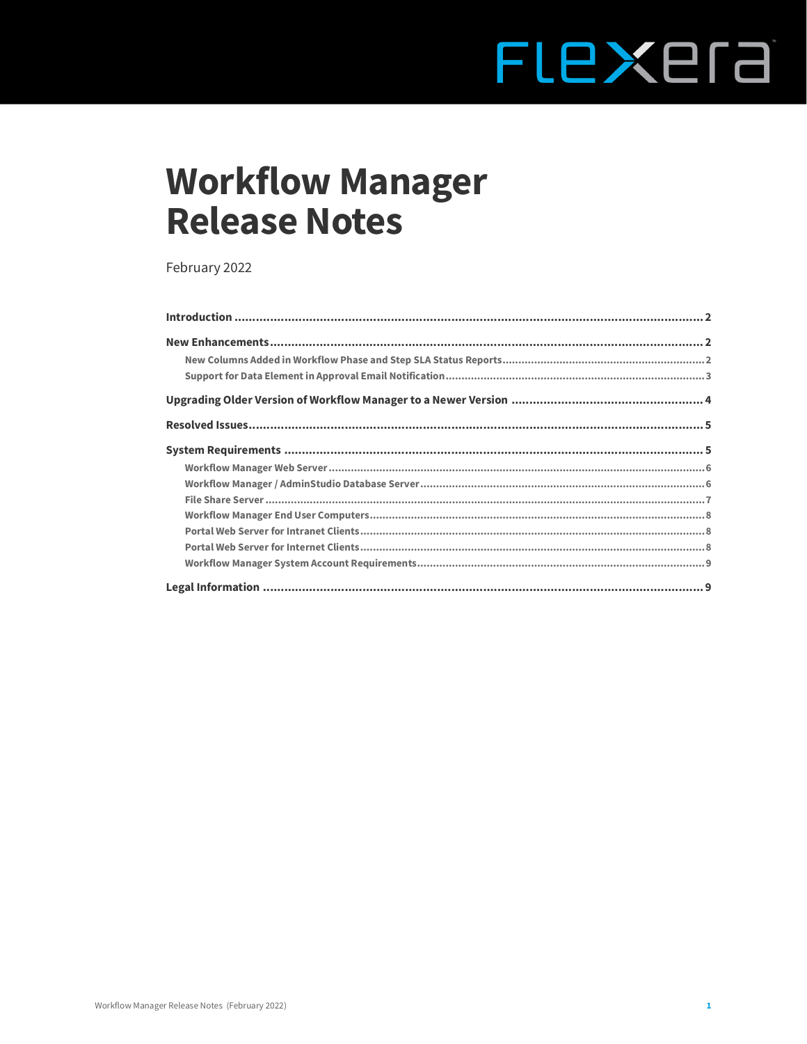# FLEXEra

# **Workflow Manager Release Notes**

February 2022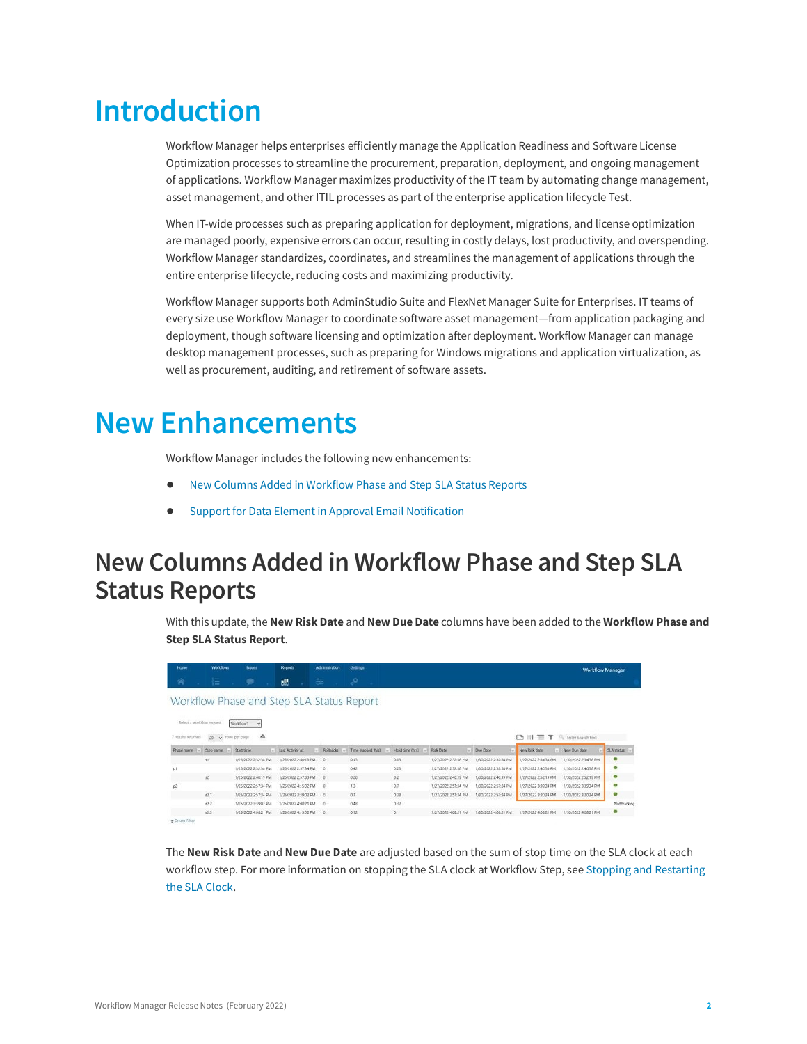# <span id="page-1-0"></span>**Introduction**

Workflow Manager helps enterprises efficiently manage the Application Readiness and Software License Optimization processes to streamline the procurement, preparation, deployment, and ongoing management of applications. Workflow Manager maximizes productivity of the IT team by automating change management, asset management, and other ITIL processes as part of the enterprise application lifecycle Test.

When IT-wide processes such as preparing application for deployment, migrations, and license optimization are managed poorly, expensive errors can occur, resulting in costly delays, lost productivity, and overspending. Workflow Manager standardizes, coordinates, and streamlines the management of applications through the entire enterprise lifecycle, reducing costs and maximizing productivity.

Workflow Manager supports both AdminStudio Suite and FlexNet Manager Suite for Enterprises. IT teams of every size use Workflow Manager to coordinate software asset management—from application packaging and deployment, though software licensing and optimization after deployment. Workflow Manager can manage desktop management processes, such as preparing for Windows migrations and application virtualization, as well as procurement, auditing, and retirement of software assets.

# <span id="page-1-1"></span>**New Enhancements**

Workflow Manager includes the following new enhancements:

- **•** [New Columns Added in Workflow Phase and Step SLA Status Reports](#page-1-2)
- **•** [Support for Data Element in Approval Email Notification](#page-2-0)

### <span id="page-1-2"></span>**New Columns Added in Workflow Phase and Step SLA Status Reports**

With this update, the **New Risk Date** and **New Due Date** columns have been added to the **Workflow Phase and Step SLA Status Report**.

| Home                      | Workflows | <b>Issues</b>                             | <b>Reports</b>       | <b>Admirestration</b> | Settings           |                 |                      |                      |                      | <b>Workflow Manager</b> |              |
|---------------------------|-----------|-------------------------------------------|----------------------|-----------------------|--------------------|-----------------|----------------------|----------------------|----------------------|-------------------------|--------------|
| 会                         | 狂         |                                           | 灩                    | 窆                     | r 7                |                 |                      |                      |                      |                         |              |
|                           |           | Workflow Phase and Step SLA Status Report |                      |                       |                    |                 |                      |                      |                      |                         |              |
|                           |           |                                           |                      |                       |                    |                 |                      |                      |                      |                         |              |
| Select a workflow request |           | Workflow1 v                               |                      |                       |                    |                 |                      |                      |                      |                         |              |
|                           |           |                                           |                      |                       |                    |                 |                      |                      |                      |                         |              |
| 7 results returned        |           | a.<br>20 v rows per page                  |                      |                       |                    |                 |                      |                      | $D \equiv T$         | Enter search text       |              |
| Phase name                | Step name | Stact time                                | Last Activity At     | Rollbacks             | Time elapsed (hrs) | Hold time (htt) | <b>Risk Date</b>     | Due Date             | New Rick date        | New Due date            | SLA status   |
|                           | 57.       | 1/25/2022 2:32:38 PM                      | 1/25/2022 2:40:18 PM | $\circ$               | 0.13               | 0.03            | 1/27/2022 2:32:38 PM | 1/30/2022 2:32:38 PM | 1/27/2022 2:34:38 PM | 1/30/2022 2:34:38 PM    | $\bullet$    |
| p1                        |           | 1/25/2022 2:32:38 PM                      | 1/25/2022 2:57:34 PM | $\circ$               | 0.42               | 0.23            | 1/27/2022 2:32:38 PM | 1/30/2022 2:32:38 PM | 1/27/2022 2:46:38 PM | 1/30/2022 246:38 PM     | ۰            |
|                           | $^{12}$   | 1/25/2022 2:40:19 PM                      | 1/25/2022 2:57:33 PM | 16                    | 0.28               | 0.2             | 1/27/2022 2:40:19 PM | 1/30/2022 2:40:19 PM | 1/27/2022 2:52:19 PM | 1/30/2022 2:52:19 PM    | $\bullet$    |
| D <sup>2</sup>            |           | 1/2S/2022 2:57:34 PM                      | 1/25/2022 4:15:02 PM | $\circ$               | 1.3                | 0.7             | 1/27/2022 2:57:34 PM | 1/30/2022 2:57:34 PM | 1/27/2022 3:39:34 PM | 1/30/2022 3:39:34 PM    | ۰            |
|                           | 12.1      | 1/25/2022 2:57:34 PM                      | 1/25/2022 3:39:02 PM | 18                    | 0.7                | 0.38            | 1/27/2022 2:57:34 PM | 1/30/2022 2:57:34 PM | 1/27/2022 3:30:34 PM | 1/30/2022 3:20:34 PM    | ۰            |
|                           | 62.2      | 1/25/2022 3:39:02 PM                      | 1/25/2022 4:08:21 PM | $-6$                  | 0.48               | 0.32            |                      |                      |                      |                         | Not tracking |
|                           | 423       | 1/25/2022 4:08:21 PM                      | 1/25/2022 4:15:02 PM | <b>0</b>              | 0.12               | 0               | 1/27/2022 4:08:21 PM | 1/30/2022 4:08:21 PM | 1/27/2022 4:08:21 PM | 1/30/2022 4:08:21 PM    | $\bullet$    |
| <b>A Create Ellter</b>    |           |                                           |                      |                       |                    |                 |                      |                      |                      |                         |              |

The **New Risk Date** and **New Due Date** are adjusted based on the sum of stop time on the SLA clock at each workflow step. For more information on stopping the SLA clock at Workflow Step, see [Stopping and Restarting](https://docs.flexera.com/workflowmanager2020/Content/helplibrary/AMSStopStartSLAClock.htm)  [the SLA Clock](https://docs.flexera.com/workflowmanager2020/Content/helplibrary/AMSStopStartSLAClock.htm).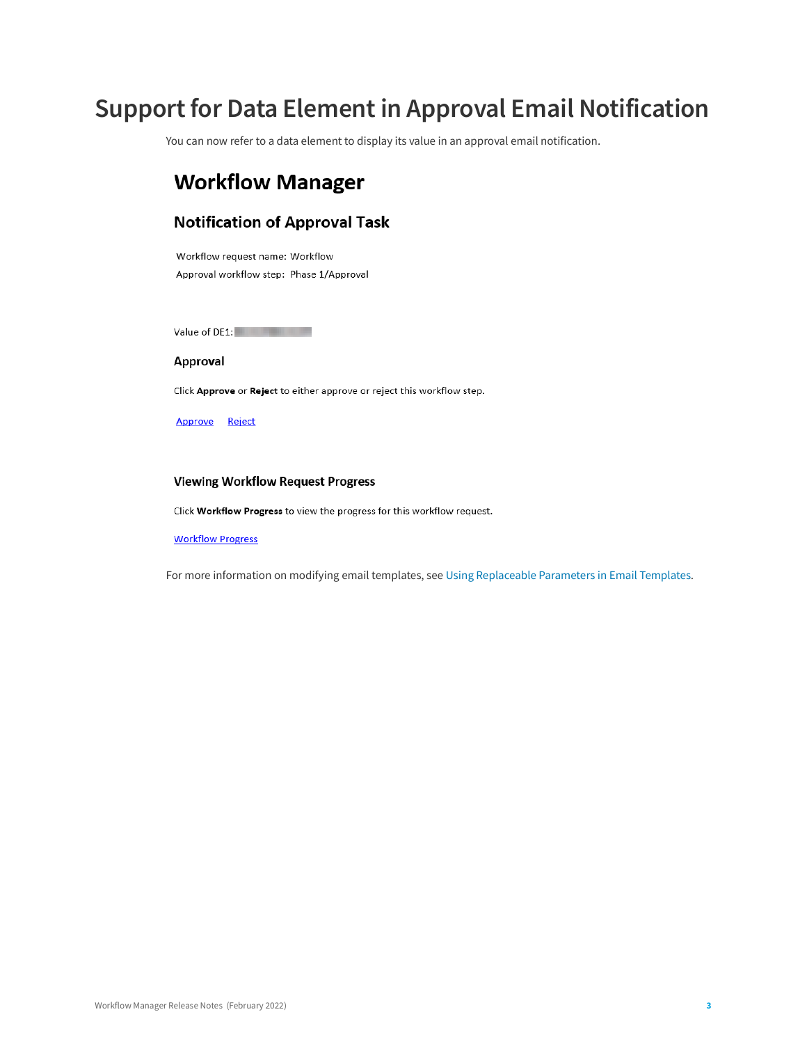# <span id="page-2-0"></span>**Support for Data Element in Approval Email Notification**

You can now refer to a data element to display its value in an approval email notification.

### **Workflow Manager**

#### **Notification of Approval Task**

Workflow request name: Workflow Approval workflow step: Phase 1/Approval

Value of DE1:

#### **Approval**

Click Approve or Reject to either approve or reject this workflow step.

Approve Reject

#### **Viewing Workflow Request Progress**

Click Workflow Progress to view the progress for this workflow request.

#### **Workflow Progress**

For more information on modifying email templates, see [Using Replaceable Parameters in Email Templates](https://docs.flexera.com/workflowmanager2020/Content/helplibrary/WFMReplaceParams.htm).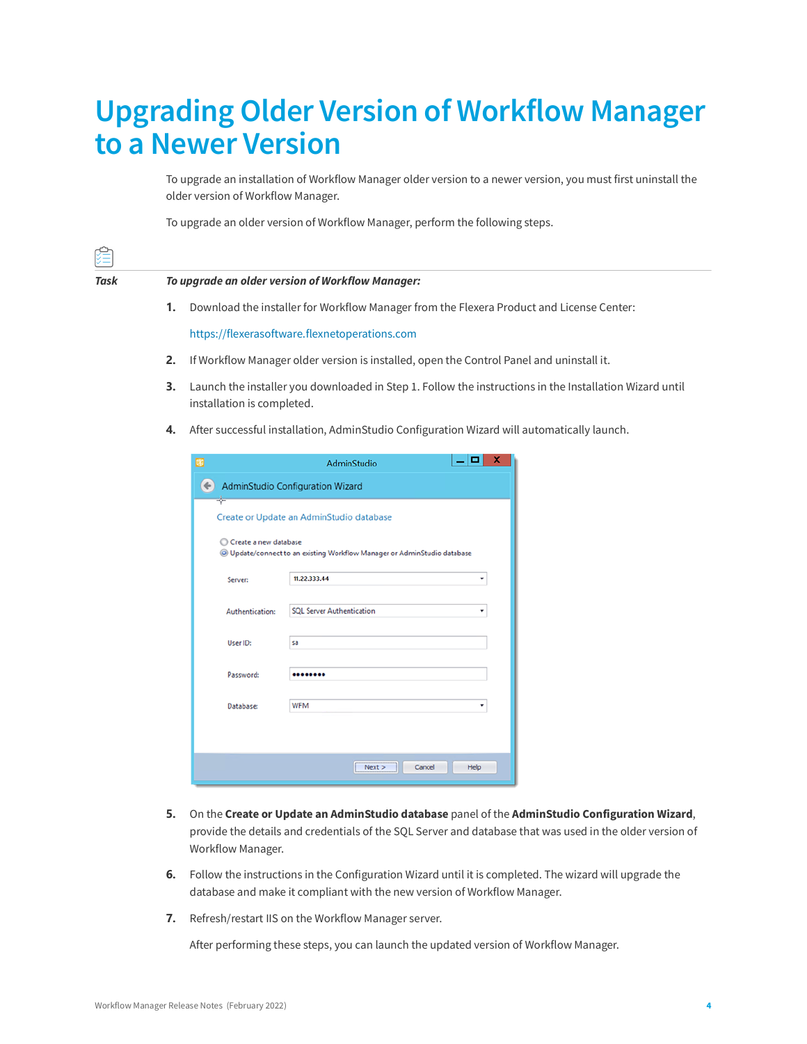# <span id="page-3-0"></span>**Upgrading Older Version of Workflow Manager to a Newer Version**

To upgrade an installation of Workflow Manager older version to a newer version, you must first uninstall the older version of Workflow Manager.

To upgrade an older version of Workflow Manager, perform the following steps.

| 组    |                                                  |                                                                                                                                       |  |  |  |
|------|--------------------------------------------------|---------------------------------------------------------------------------------------------------------------------------------------|--|--|--|
| Task | To upgrade an older version of Workflow Manager: |                                                                                                                                       |  |  |  |
|      | 1.                                               | Download the installer for Workflow Manager from the Flexera Product and License Center:                                              |  |  |  |
|      |                                                  | https://flexerasoftware.flexnetoperations.com                                                                                         |  |  |  |
|      | 2.                                               | If Workflow Manager older version is installed, open the Control Panel and uninstall it.                                              |  |  |  |
|      | 3.                                               | Launch the installer you downloaded in Step 1. Follow the instructions in the Installation Wizard until<br>installation is completed. |  |  |  |
|      | 4.                                               | After successful installation, AdminStudio Configuration Wizard will automatically launch.                                            |  |  |  |
|      |                                                  | o<br>ø<br><b>AdminStudio</b>                                                                                                          |  |  |  |
|      |                                                  | <b>AdminStudio Configuration Wizard</b>                                                                                               |  |  |  |

| Create a new database | © Update/connect to an existing Workflow Manager or AdminStudio database |
|-----------------------|--------------------------------------------------------------------------|
| Server:               | 11.22.333.44                                                             |
| Authentication:       | <b>SOL Server Authentication</b>                                         |
| User ID:              | sa                                                                       |
| Password:             |                                                                          |
| Database:             | <b>WFM</b>                                                               |

- **5.** On the **Create or Update an AdminStudio database** panel of the **AdminStudio Configuration Wizard**, provide the details and credentials of the SQL Server and database that was used in the older version of Workflow Manager.
- **6.** Follow the instructions in the Configuration Wizard until it is completed. The wizard will upgrade the database and make it compliant with the new version of Workflow Manager.
- **7.** Refresh/restart IIS on the Workflow Manager server.

After performing these steps, you can launch the updated version of Workflow Manager.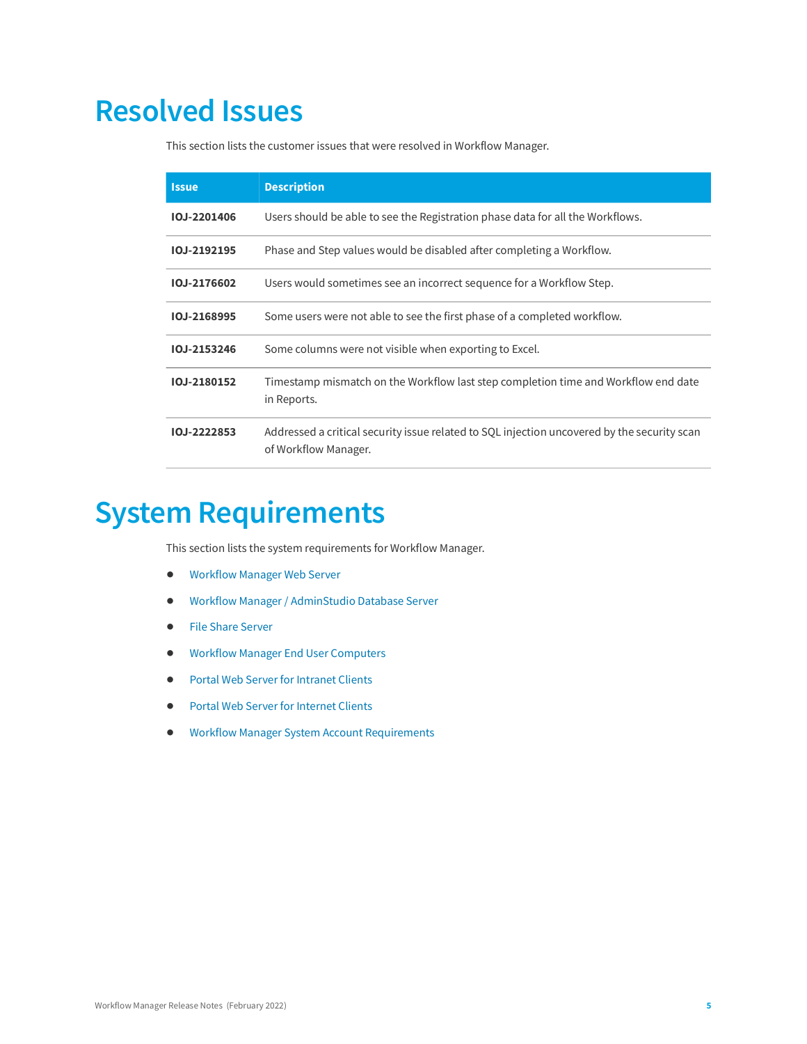# <span id="page-4-0"></span>**Resolved Issues**

This section lists the customer issues that were resolved in Workflow Manager.

| <b>Issue</b>       | <b>Description</b>                                                                                                  |
|--------------------|---------------------------------------------------------------------------------------------------------------------|
| <b>IOJ-2201406</b> | Users should be able to see the Registration phase data for all the Workflows.                                      |
| IOJ-2192195        | Phase and Step values would be disabled after completing a Workflow.                                                |
| IOJ-2176602        | Users would sometimes see an incorrect sequence for a Workflow Step.                                                |
| IOJ-2168995        | Some users were not able to see the first phase of a completed workflow.                                            |
| IOJ-2153246        | Some columns were not visible when exporting to Excel.                                                              |
| IOJ-2180152        | Timestamp mismatch on the Workflow last step completion time and Workflow end date<br>in Reports.                   |
| IOJ-2222853        | Addressed a critical security issue related to SQL injection uncovered by the security scan<br>of Workflow Manager. |

# <span id="page-4-1"></span>**System Requirements**

This section lists the system requirements for Workflow Manager.

- **•** [Workflow Manager Web Server](#page-5-0)
- **•** [Workflow Manager / AdminStudio Database Server](#page-5-1)
- **•** [File Share Server](#page-6-0)
- **•** [Workflow Manager End User Computers](#page-7-0)
- **•** [Portal Web Server for Intranet Clients](#page-7-1)
- **•** [Portal Web Server for Internet Clients](#page-7-2)
- **•** [Workflow Manager System Account Requirements](#page-8-0)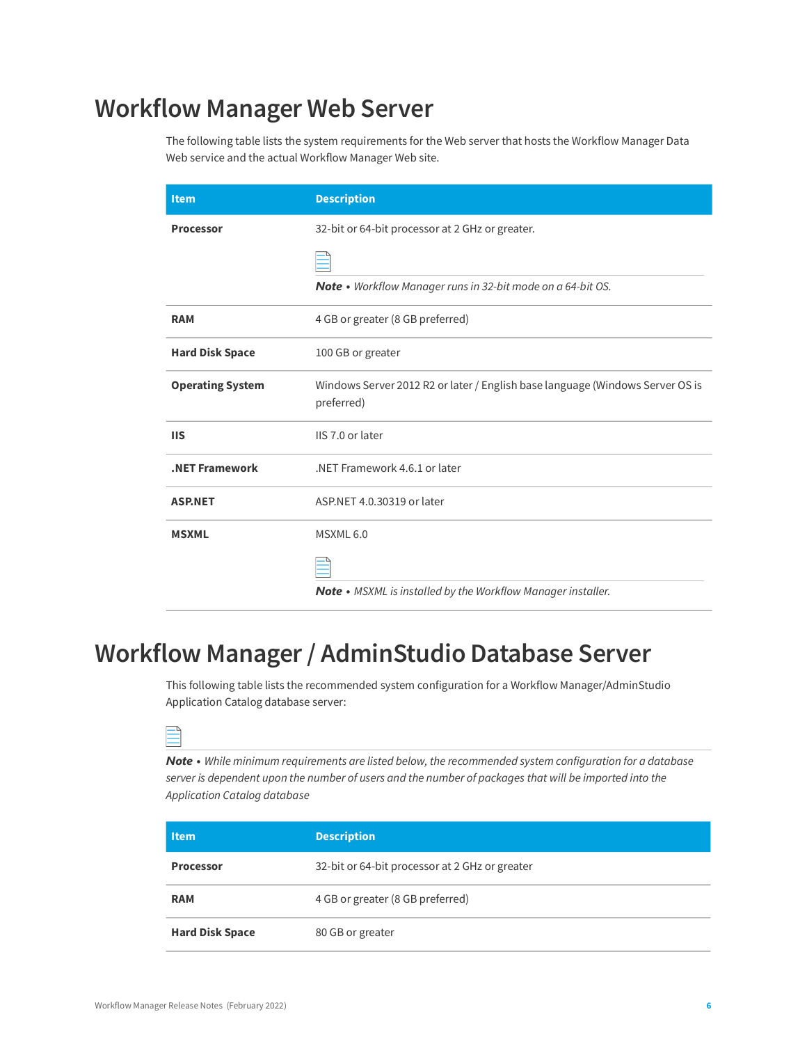## <span id="page-5-0"></span>**Workflow Manager Web Server**

The following table lists the system requirements for the Web server that hosts the Workflow Manager Data Web service and the actual Workflow Manager Web site.

| <b>Item</b>             | <b>Description</b>                                                                          |
|-------------------------|---------------------------------------------------------------------------------------------|
| <b>Processor</b>        | 32-bit or 64-bit processor at 2 GHz or greater.                                             |
|                         |                                                                                             |
|                         | Note • Workflow Manager runs in 32-bit mode on a 64-bit OS.                                 |
| <b>RAM</b>              | 4 GB or greater (8 GB preferred)                                                            |
| <b>Hard Disk Space</b>  | 100 GB or greater                                                                           |
| <b>Operating System</b> | Windows Server 2012 R2 or later / English base language (Windows Server OS is<br>preferred) |
| <b>IIS</b>              | IIS 7.0 or later                                                                            |
| .NET Framework          | NET Framework 4.6.1 or later                                                                |
| <b>ASP.NET</b>          | ASP.NET 4.0.30319 or later                                                                  |
| <b>MSXML</b>            | MSXML 6.0                                                                                   |
|                         |                                                                                             |
|                         | Note • MSXML is installed by the Workflow Manager installer.                                |

## <span id="page-5-1"></span>**Workflow Manager / AdminStudio Database Server**

This following table lists the recommended system configuration for a Workflow Manager/AdminStudio Application Catalog database server:

*Note • While minimum requirements are listed below, the recommended system configuration for a database server is dependent upon the number of users and the number of packages that will be imported into the Application Catalog database*

| <b>Item</b>            | <b>Description</b>                             |
|------------------------|------------------------------------------------|
| <b>Processor</b>       | 32-bit or 64-bit processor at 2 GHz or greater |
| <b>RAM</b>             | 4 GB or greater (8 GB preferred)               |
| <b>Hard Disk Space</b> | 80 GB or greater                               |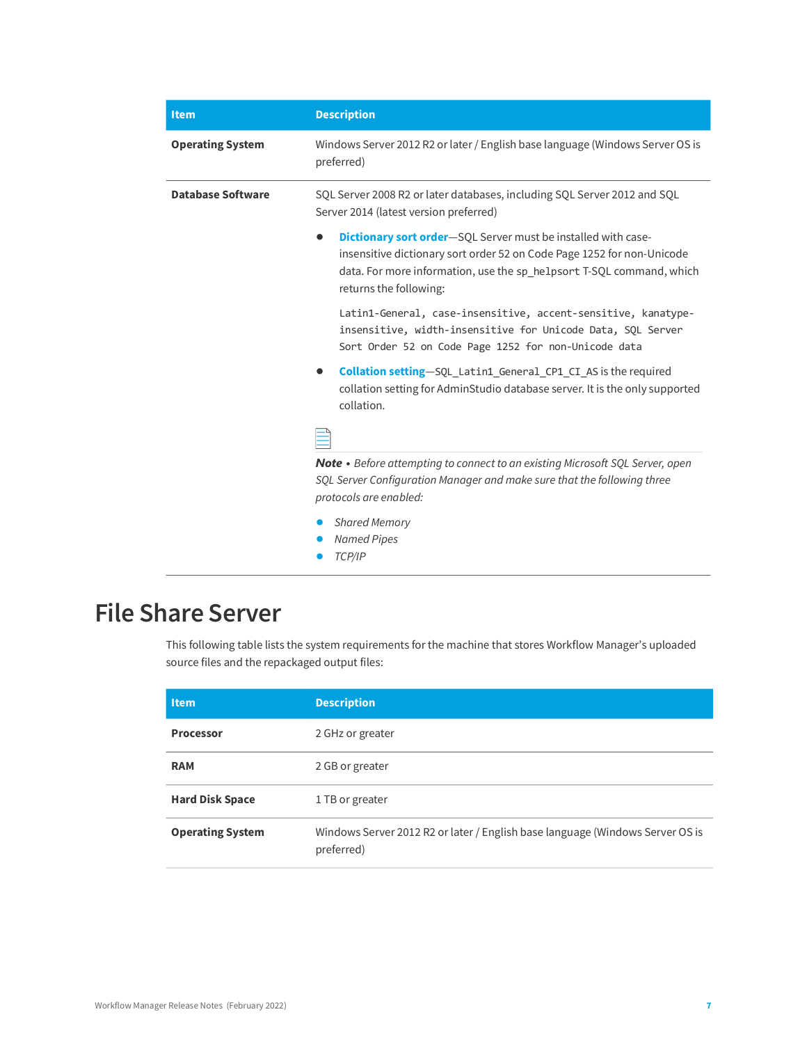| <b>Item</b>              | <b>Description</b>                                                                                                                                                                                                                                            |
|--------------------------|---------------------------------------------------------------------------------------------------------------------------------------------------------------------------------------------------------------------------------------------------------------|
| <b>Operating System</b>  | Windows Server 2012 R2 or later / English base language (Windows Server OS is<br>preferred)                                                                                                                                                                   |
| <b>Database Software</b> | SQL Server 2008 R2 or later databases, including SQL Server 2012 and SQL<br>Server 2014 (latest version preferred)                                                                                                                                            |
|                          | <b>Dictionary sort order-SQL</b> Server must be installed with case-<br>$\bullet$<br>insensitive dictionary sort order 52 on Code Page 1252 for non-Unicode<br>data. For more information, use the sp_helpsort T-SQL command, which<br>returns the following: |
|                          | Latin1-General, case-insensitive, accent-sensitive, kanatype-<br>insensitive, width-insensitive for Unicode Data, SQL Server<br>Sort Order 52 on Code Page 1252 for non-Unicode data                                                                          |
|                          | Collation setting-SQL_Latin1_General_CP1_CI_AS is the required<br>collation setting for AdminStudio database server. It is the only supported<br>collation.                                                                                                   |
|                          |                                                                                                                                                                                                                                                               |
|                          | <b>Note •</b> Before attempting to connect to an existing Microsoft SQL Server, open<br>SQL Server Configuration Manager and make sure that the following three<br>protocols are enabled:                                                                     |
|                          | Shared Memory<br><b>Named Pipes</b><br>TCP/IP                                                                                                                                                                                                                 |

# <span id="page-6-0"></span>**File Share Server**

This following table lists the system requirements for the machine that stores Workflow Manager's uploaded source files and the repackaged output files:

| <b>Item</b>             | <b>Description</b>                                                                          |
|-------------------------|---------------------------------------------------------------------------------------------|
| <b>Processor</b>        | 2 GHz or greater                                                                            |
| <b>RAM</b>              | 2 GB or greater                                                                             |
| <b>Hard Disk Space</b>  | 1 TB or greater                                                                             |
| <b>Operating System</b> | Windows Server 2012 R2 or later / English base language (Windows Server OS is<br>preferred) |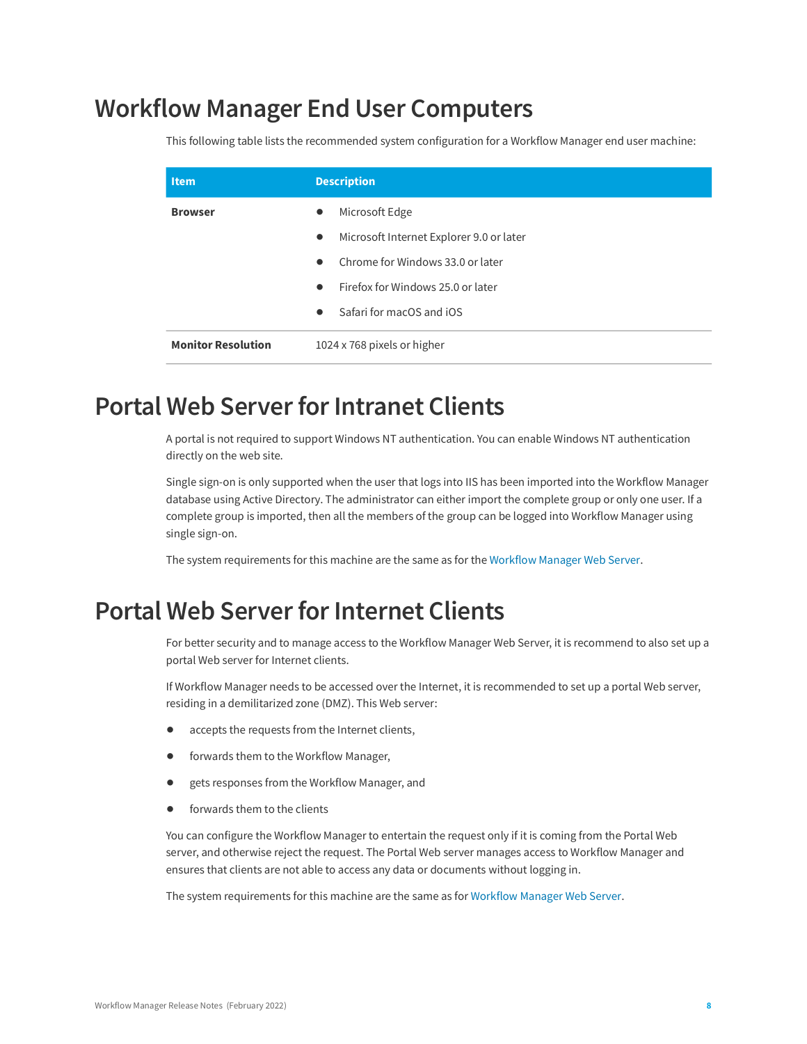### <span id="page-7-0"></span>**Workflow Manager End User Computers**

This following table lists the recommended system configuration for a Workflow Manager end user machine:

| Item.                     | <b>Description</b>                                    |
|---------------------------|-------------------------------------------------------|
| <b>Browser</b>            | Microsoft Edge<br>$\bullet$                           |
|                           | Microsoft Internet Explorer 9.0 or later<br>$\bullet$ |
|                           | Chrome for Windows 33.0 or later<br>$\bullet$         |
|                           | Firefox for Windows 25.0 or later<br>$\bullet$        |
|                           | Safari for macOS and iOS<br>$\bullet$                 |
| <b>Monitor Resolution</b> | 1024 x 768 pixels or higher                           |

### <span id="page-7-1"></span>**Portal Web Server for Intranet Clients**

A portal is not required to support Windows NT authentication. You can enable Windows NT authentication directly on the web site.

Single sign-on is only supported when the user that logs into IIS has been imported into the Workflow Manager database using Active Directory. The administrator can either import the complete group or only one user. If a complete group is imported, then all the members of the group can be logged into Workflow Manager using single sign-on.

The system requirements for this machine are the same as for the [Workflow Manager Web Server.](#page-5-0)

### <span id="page-7-2"></span>**Portal Web Server for Internet Clients**

For better security and to manage access to the Workflow Manager Web Server, it is recommend to also set up a portal Web server for Internet clients.

If Workflow Manager needs to be accessed over the Internet, it is recommended to set up a portal Web server, residing in a demilitarized zone (DMZ). This Web server:

- **•** accepts the requests from the Internet clients,
- **•** forwards them to the Workflow Manager,
- **•** gets responses from the Workflow Manager, and
- forwards them to the clients

You can configure the Workflow Manager to entertain the request only if it is coming from the Portal Web server, and otherwise reject the request. The Portal Web server manages access to Workflow Manager and ensures that clients are not able to access any data or documents without logging in.

The system requirements for this machine are the same as for [Workflow Manager Web Server.](#page-5-0)